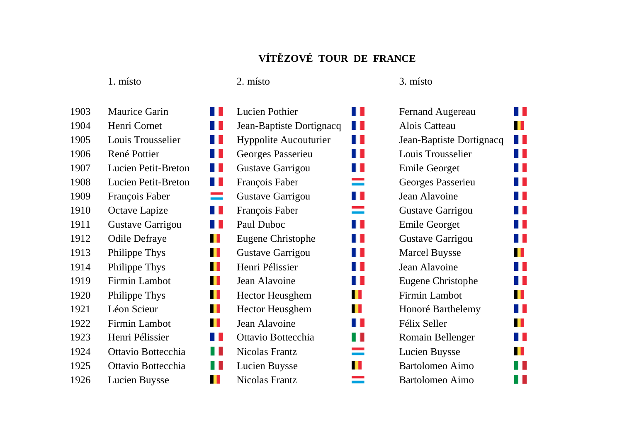## **VÍTĚZOVÉ TOUR DE FRANCE**

| 1903 | <b>Maurice Garin</b>       |
|------|----------------------------|
| 1904 | Henri Cornet               |
| 1905 | Louis Trousselier          |
| 1906 | René Pottier               |
| 1907 | <b>Lucien Petit-Bretor</b> |
| 1908 | <b>Lucien Petit-Bretor</b> |
| 1909 | François Faber             |
| 1910 | Octave Lapize              |
| 1911 | Gustave Garrigou           |
| 1912 | <b>Odile Defraye</b>       |
| 1913 | Philippe Thys              |
| 1914 | Philippe Thys              |
| 1919 | <b>Firmin Lambot</b>       |
| 1920 | Philippe Thys              |
| 1921 | Léon Scieur                |
| 1922 | <b>Firmin Lambot</b>       |
| 1923 | Henri Pélissier            |
| 1924 | Ottavio Bottecchia         |
| 1925 | Ottavio Bottecchia         |
| 1926 | <b>Lucien Buysse</b>       |

1. místo 2. místo 3. místo

| 1903 | ш<br><b>Maurice Garin</b>         | H<br><b>Lucien Pothier</b>          | <b>Fernand Augereau</b>  |
|------|-----------------------------------|-------------------------------------|--------------------------|
| 1904 | Henri Cornet<br>Ш                 | u<br>Jean-Baptiste Dortignacq       | Alois Catteau            |
| 1905 | Louis Trousselier<br>H H          | H L<br><b>Hyppolite Aucouturier</b> | Jean-Baptiste Dortignacq |
| 1906 | René Pottier<br>H                 | Ш<br>Georges Passerieu              | Louis Trousselier        |
| 1907 | <b>Lucien Petit-Breton</b><br>. . | Ш<br>Gustave Garrigou               | <b>Emile Georget</b>     |
| 1908 | H L<br>Lucien Petit-Breton        | =<br>François Faber                 | Georges Passerieu        |
| 1909 | =<br>François Faber               | Ш<br>Gustave Garrigou               | Jean Alavoine            |
| 1910 | H<br>Octave Lapize                | François Faber<br>=                 | Gustave Garrigou         |
| 1911 | H<br>Gustave Garrigou             | Ш<br>Paul Duboc                     | <b>Emile Georget</b>     |
| 1912 | <b>Odile Defraye</b><br>ш         | Ш<br>Eugene Christophe              | Gustave Garrigou         |
| 1913 | Ш<br>Philippe Thys                | Gustave Garrigou<br>H               | <b>Marcel Buysse</b>     |
| 1914 | ш<br>Philippe Thys                | Henri Pélissier<br>ш                | Jean Alavoine            |
| 1919 | ш<br>Firmin Lambot                | Jean Alavoine<br>ш                  | Eugene Christophe        |
| 1920 | ш<br>Philippe Thys                | Ш<br><b>Hector Heusghem</b>         | Firmin Lambot            |
| 1921 | Léon Scieur<br>ш                  | ш<br><b>Hector Heusghem</b>         | Honoré Barthelemy        |
| 1922 | Firmin Lambot<br>ш                | Jean Alavoine<br>ш                  | Félix Seller             |
| 1923 | Henri Pélissier<br>H              | Ш<br>Ottavio Bottecchia             | Romain Bellenger         |
| 1924 | Ш<br>Ottavio Bottecchia           | Nicolas Frantz<br>═                 | Lucien Buysse            |
| 1925 | H<br>Ottavio Bottecchia           | ш<br>Lucien Buysse                  | Bartolomeo Aimo          |
| 1926 | <b>Lucien Buysse</b><br>Ш         | <b>Nicolas Frantz</b>               | <b>Bartolomeo Aimo</b>   |

| <b>Fernand Augereau</b>  |  |
|--------------------------|--|
| Alois Catteau            |  |
| Jean-Baptiste Dortignacq |  |
| Louis Trousselier        |  |
| Emile Georget            |  |
| Georges Passerieu        |  |
| <b>Jean Alavoine</b>     |  |
| Gustave Garrigou         |  |
| Emile Georget            |  |
| Gustave Garrigou         |  |
| <b>Marcel Buysse</b>     |  |
| Jean Alavoine            |  |
| Eugene Christophe        |  |
| <b>Firmin Lambot</b>     |  |
| Honoré Barthelemy        |  |
| Félix Seller             |  |
| Romain Bellenger         |  |
| Lucien Buysse            |  |
| <b>Bartolomeo Aimo</b>   |  |
| Bartolomeo Aimo          |  |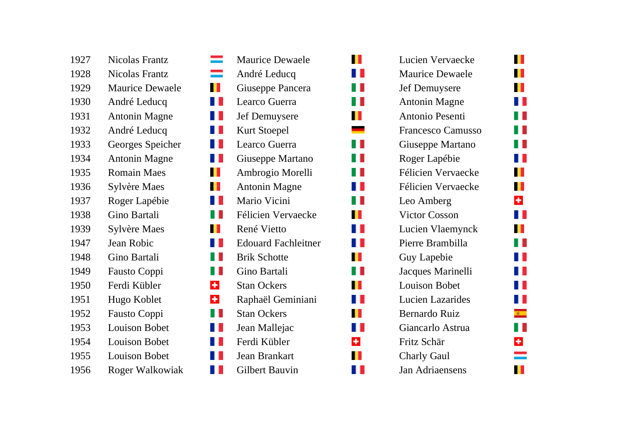| 1927 | <b>Nicolas Frantz</b>  |
|------|------------------------|
| 1928 | <b>Nicolas Frantz</b>  |
| 1929 | <b>Maurice Dewaele</b> |
| 1930 | André Leducq           |
| 1931 | <b>Antonin Magne</b>   |
| 1932 | André Leducq           |
| 1933 | Georges Speicher       |
| 1934 | <b>Antonin Magne</b>   |
| 1935 | <b>Romain Maes</b>     |
| 1936 | Sylvère Maes           |
| 1937 | Roger Lapébie          |
| 1938 | Gino Bartali           |
| 1939 | Sylvère Maes           |
| 1947 | <b>Jean Robic</b>      |
| 1948 | Gino Bartali           |
| 1949 | Fausto Coppi           |
| 1950 | Ferdi Kübler           |
| 1951 | Hugo Koblet            |
| 1952 | Fausto Coppi           |
| 1953 | <b>Louison Bobet</b>   |
| 1954 | <b>Louison Bobet</b>   |
| 1955 | <b>Louison Bobet</b>   |
| 1956 | <b>Roger Walkowiak</b> |

| era<br>Bar           | <b>Maurice Dewaele</b>     |
|----------------------|----------------------------|
| =                    | André Leducq               |
| Ш                    | Giuseppe Pancera           |
|                      | Learco Guerra              |
| 11                   | Jef Demuysere              |
| ╻╻                   | <b>Kurt Stoepel</b>        |
| ╻╻                   | Learco Guerra              |
| H                    | Giuseppe Martano           |
| Ш                    | Ambrogio Morelli           |
| Ш                    | <b>Antonin Magne</b>       |
| ш                    | Mario Vicini               |
| ш                    | Félicien Vervaecke         |
| Ш                    | René Vietto                |
| ш                    | <b>Edouard Fachleitner</b> |
| H                    | <b>Brik Schotte</b>        |
| H                    | Gino Bartali               |
| $\div$               | <b>Stan Ockers</b>         |
| $\ddot{\phantom{1}}$ | Raphaël Geminiani          |
|                      | <b>Stan Ockers</b>         |
|                      | Jean Mallejac              |
|                      | Ferdi Kübler               |
|                      | Jean Brankart              |
|                      | <b>Gilbert Bauvin</b>      |

| Lucien Vervaecke          |
|---------------------------|
| <b>Maurice Dewaele</b>    |
| <b>Jef Demuysere</b>      |
| <b>Antonin Magne</b>      |
| Antonio Pesenti           |
| <b>Francesco Camusso</b>  |
| Giuseppe Martano          |
| Roger Lapébie             |
| Félicien Vervaecke        |
| <b>Félicien Vervaecke</b> |
| Leo Amberg                |
| <b>Victor Cosson</b>      |
| Lucien Vlaemynck          |
| Pierre Brambilla          |
| <b>Guy Lapebie</b>        |
| Jacques Marinelli         |
| <b>Louison Bobet</b>      |
| <b>Lucien Lazarides</b>   |
| <b>Bernardo Ruiz</b>      |
| Giancarlo Astrua          |
| Fritz Schär               |
| <b>Charly Gaul</b>        |
| <b>Jan Adriaensens</b>    |
|                           |

 $\blacksquare$ 

H I H.

H.

 $\mathbf{L}$ 

 $\overline{\phantom{a}}$ 

H.

 $\mathcal{A}$ 

a la

H I

 $\mathbb{R}^n$ 

 $\mathbf{L}$ 

 $\blacksquare$ 

 $\blacksquare$ 

 $\mathbb{R}^n$ 

H I

 $\mathbf \mathbf I$ 

H

 $\div$ 

 $\mathbf{I}$ 

 $\blacksquare$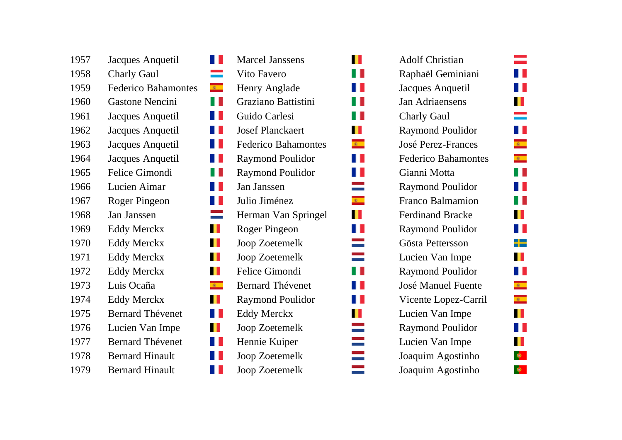| 1957 | Jacques Anquetil           |
|------|----------------------------|
| 1958 | <b>Charly Gaul</b>         |
| 1959 | <b>Federico Bahamontes</b> |
| 1960 | <b>Gastone Nencini</b>     |
| 1961 | Jacques Anquetil           |
| 1962 | Jacques Anquetil           |
| 1963 | Jacques Anquetil           |
| 1964 | Jacques Anquetil           |
| 1965 | Felice Gimondi             |
| 1966 | Lucien Aimar               |
| 1967 | Roger Pingeon              |
| 1968 | Jan Janssen                |
| 1969 | <b>Eddy Merckx</b>         |
| 1970 | <b>Eddy Merckx</b>         |
| 1971 | <b>Eddy Merckx</b>         |
| 1972 | <b>Eddy Merckx</b>         |
| 1973 | Luis Ocaña                 |
| 1974 | <b>Eddy Merckx</b>         |
| 1975 | <b>Bernard Thévenet</b>    |
| 1976 | Lucien Van Impe            |
| 1977 | <b>Bernard Thévenet</b>    |
| 1978 | <b>Bernard Hinault</b>     |
| 1979 | <b>Bernard Hinault</b>     |

|                     | <b>Marcel Janssens</b>     |
|---------------------|----------------------------|
| e e de              | <b>Vito Favero</b>         |
| $\mathbf{R}$        | Henry Anglade              |
| H                   | Graziano Battistini        |
| T                   | Guido Carlesi              |
| II                  | <b>Josef Planckaert</b>    |
| n                   | <b>Federico Bahamontes</b> |
| T                   | <b>Raymond Poulidor</b>    |
| T                   | <b>Raymond Poulidor</b>    |
| ш                   | Jan Janssen                |
| H                   | Julio Jiménez              |
| and and all         | Herman Van Springel        |
| П                   | Roger Pingeon              |
| Ш                   | <b>Joop Zoetemelk</b>      |
| Ш                   | <b>Joop Zoetemelk</b>      |
| П                   | Felice Gimondi             |
| $\mathbf{R}$        | <b>Bernard Thévenet</b>    |
| $\mathbf \mathbf I$ | <b>Raymond Poulidor</b>    |
| U                   | <b>Eddy Merckx</b>         |
|                     | Joop Zoetemelk             |
|                     | Hennie Kuiper              |
|                     | <b>Joop Zoetemelk</b>      |
|                     | Joop Zoetemelk             |

 $\blacksquare$ 

H.

H I

H.

 $\mathbf{L}$ 

 $\blacksquare$ 

 $\mathbb{R}^+$ 

 $\mathbb{R}^{\mathbb{Z}}$ 

H

 $\equiv$ 

 $\mathbf{R}$ 

 $\mathbf{L}$ 

Ľ

 $\frac{1}{2}$ 

H.

 $\blacksquare$ 

H

 $\blacksquare$ 

mana ang pag-

| <b>Adolf Christian</b>     |
|----------------------------|
| Raphaël Geminiani          |
| Jacques Anquetil           |
| <b>Jan Adriaensens</b>     |
| <b>Charly Gaul</b>         |
| <b>Raymond Poulidor</b>    |
| <b>José Perez-Frances</b>  |
| <b>Federico Bahamontes</b> |
| Gianni Motta               |
| <b>Raymond Poulidor</b>    |
| <b>Franco Balmamion</b>    |
| <b>Ferdinand Bracke</b>    |
| <b>Raymond Poulidor</b>    |
| Gösta Pettersson           |
| Lucien Van Impe            |
| <b>Raymond Poulidor</b>    |
| José Manuel Fuente         |
| Vicente Lopez-Carril       |
| Lucien Van Impe            |
| <b>Raymond Poulidor</b>    |
| Lucien Van Impe            |
| Joaquim Agostinho          |
| Joaquim Agostinho          |
|                            |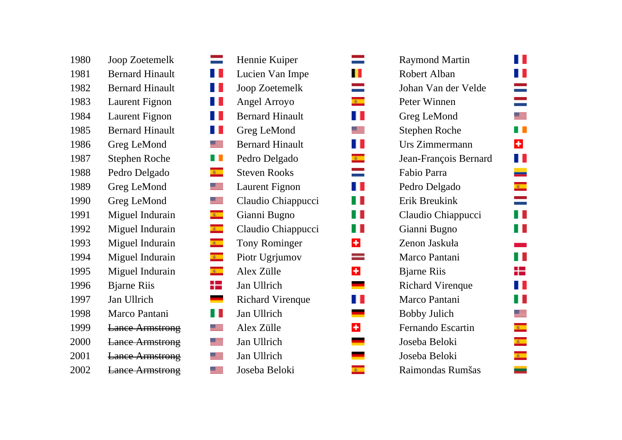| 1980 | Joop Zoetemelk         | $\equiv$        | Hennie Kuiper                     | <b>Raymond Martin</b>   |
|------|------------------------|-----------------|-----------------------------------|-------------------------|
| 1981 | <b>Bernard Hinault</b> | H               | Lucien Van Impe                   | Robert Alban            |
| 1982 | <b>Bernard Hinault</b> | Ш               | Joop Zoetemelk                    | Johan Van der Veld      |
| 1983 | Laurent Fignon         | . .             | Angel Arroyo<br>$\Phi_{\rm{max}}$ | Peter Winnen            |
| 1984 | Laurent Fignon         | . .             | <b>Bernard Hinault</b>            | Greg LeMond             |
| 1985 | <b>Bernard Hinault</b> | . .             | Greg LeMond                       | Stephen Roche           |
| 1986 | Greg LeMond            | <u>ss –</u>     | <b>Bernard Hinault</b>            | Urs Zimmermann          |
| 1987 | <b>Stephen Roche</b>   | a L             | Pedro Delgado<br>$\mathbf{R}$     | Jean-François Berna     |
| 1988 | Pedro Delgado          | $\mathbf{R}$    | <b>Steven Rooks</b>               | Fabio Parra             |
| 1989 | Greg LeMond            | ≝               | Laurent Fignon<br>. .             | Pedro Delgado           |
| 1990 | Greg LeMond            | ▓▆              | Claudio Chiappucci                | Erik Breukink           |
| 1991 | Miguel Indurain        | $\mathbf{R}$    | Gianni Bugno                      | Claudio Chiappucci      |
| 1992 | Miguel Indurain        | $\mathbf{R}$    | Claudio Chiappucci<br>. .         | Gianni Bugno            |
| 1993 | Miguel Indurain        | $\mathbf{R}$    | <b>Tony Rominger</b><br>÷         | Zenon Jaskuła           |
| 1994 | Miguel Indurain        | $\mathbf{R}$ .  | Piotr Ugrjumov                    | Marco Pantani           |
| 1995 | Miguel Indurain        | $\mathbf{R}$    | $\ddot{}$<br>Alex Zülle           | <b>Bjarne Riis</b>      |
| 1996 | <b>Bjarne Riis</b>     | ╊               | Jan Ullrich                       | <b>Richard Virenque</b> |
| 1997 | Jan Ullrich            |                 | <b>Richard Virenque</b>           | Marco Pantani           |
| 1998 | Marco Pantani          | H               | Jan Ullrich                       | <b>Bobby Julich</b>     |
| 1999 | <b>Lance Armstrong</b> | $\frac{1}{2}$   | Alex Zülle<br>÷                   | Fernando Escartin       |
| 2000 | <b>Lance Armstrong</b> | ▀               | Jan Ullrich                       | Joseba Beloki           |
| 2001 | <b>Lance Armstrong</b> | <u>sta</u>      | Jan Ullrich                       | Joseba Beloki           |
| 2002 | <b>Lance Armstrong</b> | $\frac{1}{100}$ | $\mathbf{R}$<br>Joseba Beloki     | Raimondas Rumšas        |
|      |                        |                 |                                   |                         |

| 1980 | Joop Zoetemelk                               | Hennie Kuiper           |                | <b>Raymond Martin</b>   |
|------|----------------------------------------------|-------------------------|----------------|-------------------------|
| 1981 | <b>Bernard Hinault</b><br>Ш                  | Lucien Van Impe         | ш              | Robert Alban            |
| 1982 | <b>Bernard Hinault</b><br>Ш                  | Joop Zoetemelk          |                | Johan Van der Veld      |
| 1983 | Laurent Fignon<br>Ш                          | Angel Arroyo            | $\mathbf{R}$   | Peter Winnen            |
| 1984 | Laurent Fignon<br>Ш                          | <b>Bernard Hinault</b>  |                | Greg LeMond             |
| 1985 | <b>Bernard Hinault</b><br>Ш                  | Greg LeMond             |                | Stephen Roche           |
| 1986 | Greg LeMond<br><u>se – </u>                  | <b>Bernard Hinault</b>  |                | Urs Zimmermann          |
| 1987 | <b>Stephen Roche</b><br>a ka                 | Pedro Delgado           | $\mathbf{R}$   | Jean-François Berna     |
| 1988 | Pedro Delgado<br>$\mathbf{R}_{\mathrm{max}}$ | <b>Steven Rooks</b>     | $\equiv$       | Fabio Parra             |
| 1989 | Greg LeMond<br><u>ss –</u>                   | Laurent Fignon          |                | Pedro Delgado           |
| 1990 | Greg LeMond<br>se –                          | Claudio Chiappucci      |                | Erik Breukink           |
| 1991 | Miguel Indurain<br>$\mathbb{R}^m$            | Gianni Bugno            |                | Claudio Chiappucci      |
| 1992 | Miguel Indurain<br>$\mathbb{R}^n$            | Claudio Chiappucci      |                | Gianni Bugno            |
| 1993 | $\mathbb{R}^m$<br>Miguel Indurain            | Tony Rominger           | $\ddot{}$      | Zenon Jaskuła           |
| 1994 | $\mathbf{c}$<br>Miguel Indurain              | Piotr Ugrjumov          |                | Marco Pantani           |
| 1995 | Miguel Indurain<br>$\mathbb{R}^n$            | Alex Zülle              | $\color{red}+$ | <b>Bjarne Riis</b>      |
| 1996 | ╬<br><b>Bjarne Riis</b>                      | Jan Ullrich             |                | <b>Richard Virenque</b> |
| 1997 | Jan Ullrich                                  | <b>Richard Virenque</b> |                | Marco Pantani           |
| 1998 | Ш<br>Marco Pantani                           | Jan Ullrich             |                | <b>Bobby Julich</b>     |
| 1999 | <b>Lance Armstrong</b><br>$\frac{1}{2}$      | Alex Zülle              | $\color{red}+$ | Fernando Escartin       |
| 2000 | <b>Lance Armstrong</b><br><u>ss –</u>        | Jan Ullrich             |                | Joseba Beloki           |
| 2001 | $\frac{1}{2}$<br><b>Lance Armstrong</b>      | Jan Ullrich             |                | Joseba Beloki           |
| 2002 | <b>Lance Armstrong</b><br>sse –              | Joseba Beloki           | $\mathbf{e}$   | Raimondas Rumšas        |

| 1980 | Joop Zoetemelk         | ═                           | Hennie Kuiper           |                             | <b>Raymond Martin</b>   |
|------|------------------------|-----------------------------|-------------------------|-----------------------------|-------------------------|
| 1981 | <b>Bernard Hinault</b> | H                           | Lucien Van Impe         | Ш                           | Robert Alban            |
| 1982 | <b>Bernard Hinault</b> | ш                           | Joop Zoetemelk          |                             | Johan Van der Velde     |
| 1983 | <b>Laurent Fignon</b>  | W                           | Angel Arroyo            | $\mathbf{R}$                | Peter Winnen            |
| 1984 | Laurent Fignon         | U                           | <b>Bernard Hinault</b>  | ш                           | Greg LeMond             |
| 1985 | <b>Bernard Hinault</b> | 9 U                         | Greg LeMond             |                             | <b>Stephen Roche</b>    |
| 1986 | Greg LeMond            | <u>se –</u>                 | <b>Bernard Hinault</b>  | Ш                           | Urs Zimmermann          |
| 1987 | <b>Stephen Roche</b>   | $\sim 10$                   | Pedro Delgado           | $\mathbf{R}_{\mathrm{max}}$ | Jean-François Bernard   |
| 1988 | Pedro Delgado          | $\mathbf{R}$ .              | <b>Steven Rooks</b>     |                             | Fabio Parra             |
| 1989 | Greg LeMond            | <u>88 —</u>                 | Laurent Fignon          |                             | Pedro Delgado           |
| 1990 | Greg LeMond            | $\frac{1}{100}$             | Claudio Chiappucci      | . .                         | Erik Breukink           |
| 1991 | Miguel Indurain        | $\mathbf{R}^{\mathrm{max}}$ | Gianni Bugno            |                             | Claudio Chiappucci      |
| 1992 | Miguel Indurain        | $\mathbf{R}^{\mathrm{max}}$ | Claudio Chiappucci      |                             | Gianni Bugno            |
| 1993 | Miguel Indurain        | $\mathbf{R}^{(0)}$          | <b>Tony Rominger</b>    | ÷                           | Zenon Jaskuła           |
| 1994 | Miguel Indurain        | $\mathbf{R}$                | Piotr Ugrjumov          |                             | Marco Pantani           |
| 1995 | Miguel Indurain        | $\mathbf{R}$                | Alex Zülle              | $\pm$                       | <b>Bjarne Riis</b>      |
| 1996 | <b>Bjarne Riis</b>     | ╬                           | Jan Ullrich             |                             | <b>Richard Virenque</b> |
| 1997 | Jan Ullrich            |                             | <b>Richard Virenque</b> |                             | Marco Pantani           |
| 1998 | Marco Pantani          | a ka                        | Jan Ullrich             |                             | <b>Bobby Julich</b>     |
| 1999 | <b>Lance Armstrong</b> | 39 I                        | Alex Zülle              | ÷                           | Fernando Escartin       |
| 2000 | <b>Lance Armstrong</b> | ≝                           | Jan Ullrich             |                             | Joseba Beloki           |
| 2001 | <b>Lance Armstrong</b> | <u>se –</u>                 | Jan Ullrich             |                             | Joseba Beloki           |
| 2002 | <b>Lance Armstrong</b> | $\frac{1}{2}$               | Joseba Beloki           | $\mathbf{R}$ .              | Raimondas Rumšas        |
|      |                        |                             |                         |                             |                         |

 $\mathbf{L}$  $\mathbf{L}$  $\frac{1}{\sqrt{2}}$ 

ss — П.

 $\ddot{\textbf{r}}$ H I  $\equiv$  $\mathbf{k}$ 

H M.

 $\sim 10^{11}$ H. ₩ H L  $\mathbb{R}^2$ 88 F.E  $\bullet$  $\ddot{x}$  $\mathbf{R}$  $\equiv$